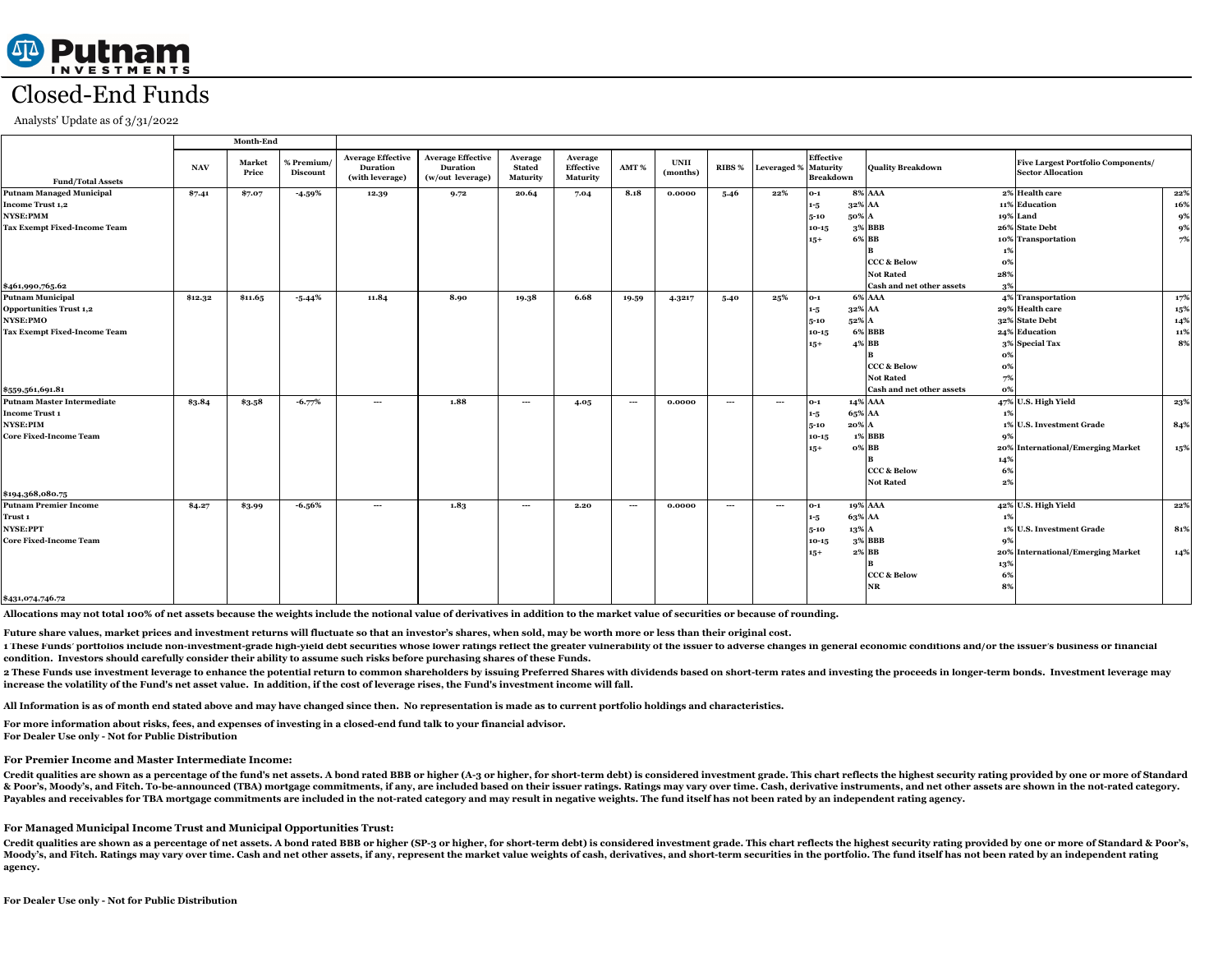# Closed-End Funds

Analysts' Update as of 3/31/2022

1 These Funds' portfolios include non-investment-grade high-yield debt securities whose lower ratings reflect the greater vulnerability of the issuer to adverse changes in general economic conditions and/or the issuer's bu **condition. Investors should carefully consider their ability to assume such risks before purchasing shares of these Funds.**

2 These Funds use investment leverage to enhance the potential return to common shareholders by issuing Preferred Shares with dividends based on short-term rates and investing the proceeds in longer-term bonds. Investment **increase the volatility of the Fund's net asset value. In addition, if the cost of leverage rises, the Fund's investment income will fall.**

**Allocations may not total 100% of net assets because the weights include the notional value of derivatives in addition to the market value of securities or because of rounding.**

### **For Premier Income and Master Intermediate Income:**

Credit qualities are shown as a percentage of the fund's net assets. A bond rated BBB or higher (A-3 or higher, for short-term debt) is considered investment grade. This chart reflects the highest security rating provided & Poor's, Moody's, and Fitch. To-be-announced (TBA) mortgage commitments, if any, are included based on their issuer ratings. Ratings may vary over time. Cash, derivative instruments, and net other assets are shown in the **Payables and receivables for TBA mortgage commitments are included in the not-rated category and may result in negative weights. The fund itself has not been rated by an independent rating agency.**

### **For Managed Municipal Income Trust and Municipal Opportunities Trust:**

**Future share values, market prices and investment returns will fluctuate so that an investor's shares, when sold, may be worth more or less than their original cost.**

Credit qualities are shown as a percentage of net assets. A bond rated BBB or higher (SP-3 or higher, for short-term debt) is considered investment grade. This chart reflects the highest security rating provided by one or Moody's, and Fitch. Ratings may vary over time. Cash and net other assets, if any, represent the market value weights of cash, derivatives, and short-term securities in the portfolio. The fund itself has not been rated by **agency.**

|                                     | <b>Month-End</b> |                 |                               |                                                                |                                                                 |                                      |                                         |                                        |                         |               |                             |                                      |                                        |                             |                                                                       |     |
|-------------------------------------|------------------|-----------------|-------------------------------|----------------------------------------------------------------|-----------------------------------------------------------------|--------------------------------------|-----------------------------------------|----------------------------------------|-------------------------|---------------|-----------------------------|--------------------------------------|----------------------------------------|-----------------------------|-----------------------------------------------------------------------|-----|
| <b>Fund/Total Assets</b>            | <b>NAV</b>       | Market<br>Price | % Premium/<br><b>Discount</b> | <b>Average Effective</b><br><b>Duration</b><br>(with leverage) | <b>Average Effective</b><br><b>Duration</b><br>(w/out leverage) | Average<br><b>Stated</b><br>Maturity | Average<br>Effective<br><b>Maturity</b> | AMT %                                  | <b>UNII</b><br>(months) | RIBS %        | <b>Leveraged % Maturity</b> | <b>Effective</b><br><b>Breakdown</b> | <b>Quality Breakdown</b>               |                             | <b>Five Largest Portfolio Components/</b><br><b>Sector Allocation</b> |     |
| <b>Putnam Managed Municipal</b>     | \$7.41           | \$7.07          | $-4.59%$                      | 12.39                                                          | 9.72                                                            | 20.64                                | 7.04                                    | 8.18                                   | 0.0000                  | 5.46          | 22%                         | $O-1$                                | <b>8% AAA</b>                          |                             | 2% Health care                                                        | 22% |
| <b>Income Trust 1,2</b>             |                  |                 |                               |                                                                |                                                                 |                                      |                                         |                                        |                         |               |                             | 1-5                                  | 32% AA                                 |                             | 11% Education                                                         | 16% |
| <b>NYSE:PMM</b>                     |                  |                 |                               |                                                                |                                                                 |                                      |                                         |                                        |                         |               |                             | $5 - 10$                             | 50% A                                  |                             | 19% Land                                                              | 9%  |
| <b>Tax Exempt Fixed-Income Team</b> |                  |                 |                               |                                                                |                                                                 |                                      |                                         |                                        |                         |               |                             | $10-15$                              | 3% BBB                                 |                             | 26% State Debt                                                        | 9%  |
|                                     |                  |                 |                               |                                                                |                                                                 |                                      |                                         |                                        |                         |               |                             | $15+$                                | 6% BB                                  |                             | 10% Transportation                                                    | 7%  |
|                                     |                  |                 |                               |                                                                |                                                                 |                                      |                                         |                                        |                         |               |                             |                                      |                                        |                             |                                                                       |     |
|                                     |                  |                 |                               |                                                                |                                                                 |                                      |                                         |                                        |                         |               |                             |                                      | <b>CCC &amp; Below</b>                 | 0%                          |                                                                       |     |
|                                     |                  |                 |                               |                                                                |                                                                 |                                      |                                         |                                        |                         |               |                             |                                      | <b>Not Rated</b>                       | 28%                         |                                                                       |     |
| \$461,990,765.62                    |                  |                 |                               |                                                                |                                                                 |                                      |                                         |                                        |                         |               |                             |                                      | <b>Cash and net other assets</b>       | 3%                          |                                                                       |     |
| <b>Putnam Municipal</b>             | \$12.32          | \$11.65         | $-5.44\%$                     | 11.84                                                          | 8.90                                                            | 19.38                                | 6.68                                    | 19.59                                  | 4.3217                  | 5.40          | 25%                         | $0-1$                                | <b>6% AAA</b>                          |                             | 4% Transportation                                                     | 17% |
| <b>Opportunities Trust 1,2</b>      |                  |                 |                               |                                                                |                                                                 |                                      |                                         |                                        |                         |               |                             | $1 - 5$                              | 32% AA                                 |                             | 29% Health care                                                       | 15% |
| NYSE:PMO                            |                  |                 |                               |                                                                |                                                                 |                                      |                                         |                                        |                         |               |                             | $5 - 10$                             | 52% A                                  |                             | 32% State Debt                                                        | 14% |
| <b>Tax Exempt Fixed-Income Team</b> |                  |                 |                               |                                                                |                                                                 |                                      |                                         |                                        |                         |               |                             | $10 - 15$                            | <b>6% BBB</b>                          |                             | 24% Education                                                         | 11% |
|                                     |                  |                 |                               |                                                                |                                                                 |                                      |                                         |                                        |                         |               |                             | $15+$                                | <b>BB</b><br>$\mathbf{A}^{\mathbf{0}}$ |                             | 3% Special Tax                                                        | 8%  |
|                                     |                  |                 |                               |                                                                |                                                                 |                                      |                                         |                                        |                         |               |                             |                                      |                                        | $\mathbf{O}^{\prime\prime}$ |                                                                       |     |
|                                     |                  |                 |                               |                                                                |                                                                 |                                      |                                         |                                        |                         |               |                             |                                      | <b>CCC &amp; Below</b>                 | 0%                          |                                                                       |     |
|                                     |                  |                 |                               |                                                                |                                                                 |                                      |                                         |                                        |                         |               |                             |                                      | <b>Not Rated</b>                       | 7%                          |                                                                       |     |
| \$559,561,691.81                    |                  |                 |                               |                                                                |                                                                 |                                      |                                         |                                        |                         |               |                             |                                      | <b>Cash and net other assets</b>       | о%                          |                                                                       |     |
| Putnam Master Intermediate          | \$3.84           | \$3.58          | $-6.77\%$                     | $\hspace{0.05cm} \ldots$                                       | 1.88                                                            | $\cdots$                             | 4.05                                    | $\hspace{0.1em} \ldots \hspace{0.1em}$ | 0.0000                  | $\sim$ $\sim$ | $\sim$ $\sim$               | $O-1$                                | 14% AAA                                |                             | 47% U.S. High Yield                                                   | 23% |
| <b>Income Trust 1</b>               |                  |                 |                               |                                                                |                                                                 |                                      |                                         |                                        |                         |               |                             | $1 - 5$                              | 65% AA                                 | 1%                          |                                                                       |     |
| NYSE:PIM                            |                  |                 |                               |                                                                |                                                                 |                                      |                                         |                                        |                         |               |                             | $5 - 10$                             | $20\%$ A                               |                             | 1% U.S. Investment Grade                                              | 84% |
| <b>Core Fixed-Income Team</b>       |                  |                 |                               |                                                                |                                                                 |                                      |                                         |                                        |                         |               |                             | $10 - 15$                            | <b>1% BBB</b>                          | 9%                          |                                                                       |     |
|                                     |                  |                 |                               |                                                                |                                                                 |                                      |                                         |                                        |                         |               |                             | $15+$                                | $\mathbf{O}\%$ BB                      |                             | 20% International/Emerging Market                                     | 15% |
|                                     |                  |                 |                               |                                                                |                                                                 |                                      |                                         |                                        |                         |               |                             |                                      |                                        | 14%                         |                                                                       |     |
|                                     |                  |                 |                               |                                                                |                                                                 |                                      |                                         |                                        |                         |               |                             |                                      | <b>CCC &amp; Below</b>                 | 6%                          |                                                                       |     |
|                                     |                  |                 |                               |                                                                |                                                                 |                                      |                                         |                                        |                         |               |                             |                                      | <b>Not Rated</b>                       | $2\%$                       |                                                                       |     |
| \$194,368,080.75                    |                  |                 |                               |                                                                |                                                                 |                                      |                                         |                                        |                         |               |                             |                                      |                                        |                             |                                                                       |     |
| <b>Putnam Premier Income</b>        | \$4.27           | \$3.99          | $-6.56%$                      | $\frac{1}{2}$                                                  | 1.83                                                            | $\sim$ $\sim$                        | 2.20                                    | $\hspace{0.1em} \ldots \hspace{0.1em}$ | 0.0000                  | $\sim$ $\sim$ | $\sim$ $\sim$               | $0-1$                                | 19% AAA                                |                             | 42% U.S. High Yield                                                   | 22% |
| Trust 1                             |                  |                 |                               |                                                                |                                                                 |                                      |                                         |                                        |                         |               |                             | $1 - 5$                              | 63% AA                                 | -1%                         |                                                                       |     |
| NYSE:PPT                            |                  |                 |                               |                                                                |                                                                 |                                      |                                         |                                        |                         |               |                             | $5 - 10$                             | 13% A                                  |                             | 1% U.S. Investment Grade                                              | 81% |
| <b>Core Fixed-Income Team</b>       |                  |                 |                               |                                                                |                                                                 |                                      |                                         |                                        |                         |               |                             | $10 - 15$                            | 3% <b>BBB</b>                          | 9%                          |                                                                       |     |
|                                     |                  |                 |                               |                                                                |                                                                 |                                      |                                         |                                        |                         |               |                             | $15+$                                | $2\%$ BB                               |                             | 20% International/Emerging Market                                     | 14% |
|                                     |                  |                 |                               |                                                                |                                                                 |                                      |                                         |                                        |                         |               |                             |                                      |                                        | 13%                         |                                                                       |     |
|                                     |                  |                 |                               |                                                                |                                                                 |                                      |                                         |                                        |                         |               |                             |                                      | <b>CCC &amp; Below</b>                 | 6%                          |                                                                       |     |
|                                     |                  |                 |                               |                                                                |                                                                 |                                      |                                         |                                        |                         |               |                             |                                      | <b>NR</b>                              | 8%                          |                                                                       |     |
| \$431,074,746.72                    |                  |                 |                               |                                                                |                                                                 |                                      |                                         |                                        |                         |               |                             |                                      |                                        |                             |                                                                       |     |

**All Information is as of month end stated above and may have changed since then. No representation is made as to current portfolio holdings and characteristics.**

**For more information about risks, fees, and expenses of investing in a closed-end fund talk to your financial advisor. For Dealer Use only - Not for Public Distribution**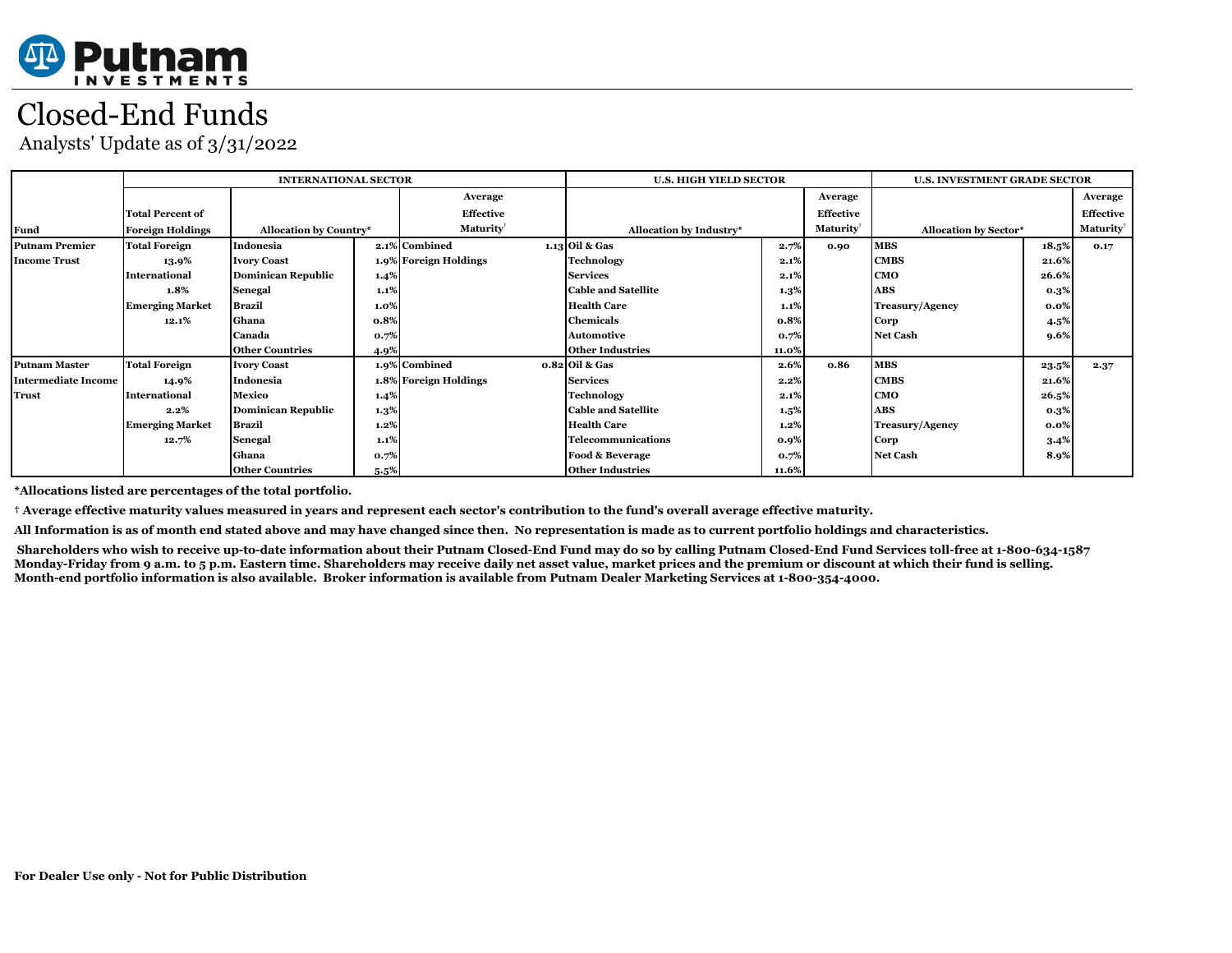

## Closed-End Funds

Analysts' Update as of 3/31/2022

|                       |                         | <b>INTERNATIONAL SECTOR</b>   |         | <b>U.S. HIGH YIELD SECTOR</b> | <b>U.S. INVESTMENT GRADE SECTOR</b> |                  |                 |                              |                  |                 |
|-----------------------|-------------------------|-------------------------------|---------|-------------------------------|-------------------------------------|------------------|-----------------|------------------------------|------------------|-----------------|
|                       |                         |                               |         | Average                       |                                     | Average          |                 |                              | Average          |                 |
|                       | <b>Total Percent of</b> |                               |         | <b>Effective</b>              |                                     | <b>Effective</b> |                 |                              | <b>Effective</b> |                 |
| <b>Fund</b>           | <b>Foreign Holdings</b> | <b>Allocation by Country*</b> |         | <b>Maturity</b>               | Allocation by Industry*             |                  | <b>Maturity</b> | <b>Allocation by Sector*</b> |                  | <b>Maturity</b> |
| <b>Putnam Premier</b> | <b>Total Foreign</b>    | Indonesia                     |         | 2.1% Combined                 | $1.13$ Oil & Gas                    | 2.7%             | 0.90            | <b>MBS</b>                   | 18.5%            | 0.17            |
| <b>Income Trust</b>   | 13.9%                   | <b>Ivory Coast</b>            |         | 1.9% Foreign Holdings         | <b>Technology</b>                   | 2.1%             |                 | <b>CMBS</b>                  | 21.6%            |                 |
|                       | International           | <b>Dominican Republic</b>     | 1.4%    |                               | <b>Services</b>                     | 2.1%             |                 | CMO                          | 26.6%            |                 |
|                       | 1.8%                    | <b>Senegal</b>                | $1.1\%$ |                               | <b>Cable and Satellite</b>          | $1.3\%$          |                 | <b>ABS</b>                   | 0.3%             |                 |
|                       | <b>Emerging Market</b>  | <b>Brazil</b>                 | $1.0\%$ |                               | <b>Health Care</b>                  | 1.1%             |                 | <b>Treasury/Agency</b>       | 0.0%             |                 |
|                       | 12.1%                   | Ghana                         | 0.8%    |                               | <b>Chemicals</b>                    | 0.8%             |                 | Corp                         | 4.5%             |                 |
|                       |                         | Canada                        | 0.7%    |                               | <b>Automotive</b>                   | 0.7%             |                 | <b>Net Cash</b>              | 9.6%             |                 |
|                       |                         | <b>Other Countries</b>        | 4.9%    |                               | Other Industries                    | 11.0%            |                 |                              |                  |                 |
| <b>Putnam Master</b>  | <b>Total Foreign</b>    | <b>Ivory Coast</b>            |         | 1.9% Combined                 | $0.82$ Oil & Gas                    | 2.6%             | 0.86            | <b>MBS</b>                   | 23.5%            | 2.37            |
| Intermediate Income   | 14.9%                   | Indonesia                     |         | 1.8% Foreign Holdings         | <b>Services</b>                     | $2.2\%$          |                 | <b>CMBS</b>                  | 21.6%            |                 |
| <b>Trust</b>          | International           | <b>Mexico</b>                 | $1.4\%$ |                               | <b>Technology</b>                   | 2.1%             |                 | <b>CMO</b>                   | 26.5%            |                 |
|                       | 2.2%                    | <b>Dominican Republic</b>     | $1.3\%$ |                               | <b>Cable and Satellite</b>          | 1.5%             |                 | <b>ABS</b>                   | 0.3%             |                 |
|                       | <b>Emerging Market</b>  | <b>Brazil</b>                 | $1.2\%$ |                               | <b>Health Care</b>                  | 1.2%             |                 | <b>Treasury/Agency</b>       | 0.0%             |                 |
|                       | 12.7%                   | <b>Senegal</b>                | 1.1%    |                               | Telecommunications                  | 0.9%             |                 | Corp                         | 3.4%             |                 |
|                       |                         | Ghana                         | 0.7%    |                               | <b>Food &amp; Beverage</b>          | 0.7%             |                 | <b>Net Cash</b>              | 8.9%             |                 |
|                       |                         | <b>Other Countries</b>        | $5.5\%$ |                               | <b>Other Industries</b>             | 11.6%            |                 |                              |                  |                 |

**\*Allocations listed are percentages of the total portfolio.**

**† Average effective maturity values measured in years and represent each sector's contribution to the fund's overall average effective maturity.**

**All Information is as of month end stated above and may have changed since then. No representation is made as to current portfolio holdings and characteristics.**

 **Shareholders who wish to receive up-to-date information about their Putnam Closed-End Fund may do so by calling Putnam Closed-End Fund Services toll-free at 1-800-634-1587 Monday-Friday from 9 a.m. to 5 p.m. Eastern time. Shareholders may receive daily net asset value, market prices and the premium or discount at which their fund is selling. Month-end portfolio information is also available. Broker information is available from Putnam Dealer Marketing Services at 1-800-354-4000.**